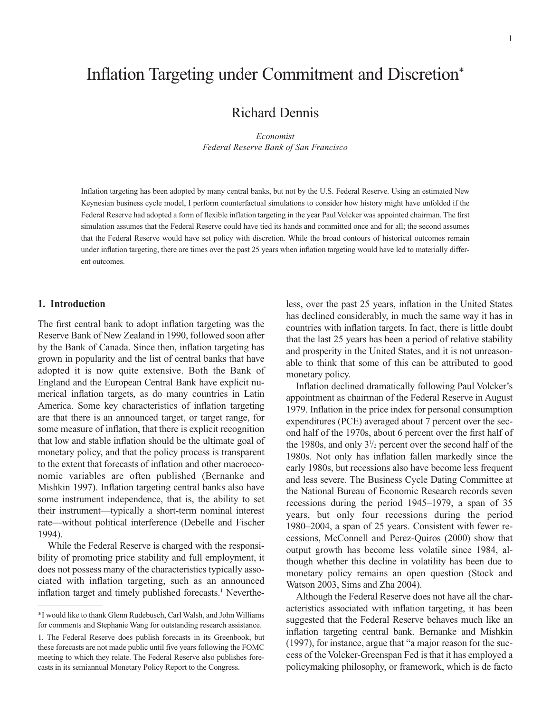# Inflation Targeting under Commitment and Discretion\*

Richard Dennis

*Economist Federal Reserve Bank of San Francisco* 

Inflation targeting has been adopted by many central banks, but not by the U.S. Federal Reserve. Using an estimated New Keynesian business cycle model, I perform counterfactual simulations to consider how history might have unfolded if the Federal Reserve had adopted a form of flexible inflation targeting in the year Paul Volcker was appointed chairman. The first simulation assumes that the Federal Reserve could have tied its hands and committed once and for all; the second assumes that the Federal Reserve would have set policy with discretion. While the broad contours of historical outcomes remain under inflation targeting, there are times over the past 25 years when inflation targeting would have led to materially different outcomes.

#### **1. Introduction**

The first central bank to adopt inflation targeting was the Reserve Bank of New Zealand in 1990, followed soon after by the Bank of Canada. Since then, inflation targeting has grown in popularity and the list of central banks that have adopted it is now quite extensive. Both the Bank of England and the European Central Bank have explicit numerical inflation targets, as do many countries in Latin America. Some key characteristics of inflation targeting are that there is an announced target, or target range, for some measure of inflation, that there is explicit recognition that low and stable inflation should be the ultimate goal of monetary policy, and that the policy process is transparent to the extent that forecasts of inflation and other macroeconomic variables are often published (Bernanke and Mishkin 1997). Inflation targeting central banks also have some instrument independence, that is, the ability to set their instrument—typically a short-term nominal interest rate—without political interference (Debelle and Fischer 1994).

While the Federal Reserve is charged with the responsibility of promoting price stability and full employment, it does not possess many of the characteristics typically associated with inflation targeting, such as an announced inflation target and timely published forecasts.<sup>1</sup> Nevertheless, over the past 25 years, inflation in the United States has declined considerably, in much the same way it has in countries with inflation targets. In fact, there is little doubt that the last 25 years has been a period of relative stability and prosperity in the United States, and it is not unreasonable to think that some of this can be attributed to good monetary policy.

Inflation declined dramatically following Paul Volcker's appointment as chairman of the Federal Reserve in August 1979. Inflation in the price index for personal consumption expenditures (PCE) averaged about 7 percent over the second half of the 1970s, about 6 percent over the first half of the 1980s, and only 31 /2 percent over the second half of the 1980s. Not only has inflation fallen markedly since the early 1980s, but recessions also have become less frequent and less severe. The Business Cycle Dating Committee at the National Bureau of Economic Research records seven recessions during the period 1945–1979, a span of 35 years, but only four recessions during the period 1980–2004, a span of 25 years. Consistent with fewer recessions, McConnell and Perez-Quiros (2000) show that output growth has become less volatile since 1984, although whether this decline in volatility has been due to monetary policy remains an open question (Stock and Watson 2003, Sims and Zha 2004).

Although the Federal Reserve does not have all the characteristics associated with inflation targeting, it has been suggested that the Federal Reserve behaves much like an inflation targeting central bank. Bernanke and Mishkin (1997), for instance, argue that "a major reason for the success of the Volcker-Greenspan Fed is that it has employed a policymaking philosophy, or framework, which is de facto

<sup>\*</sup>I would like to thank Glenn Rudebusch, Carl Walsh, and John Williams for comments and Stephanie Wang for outstanding research assistance.

<sup>1.</sup> The Federal Reserve does publish forecasts in its Greenbook, but these forecasts are not made public until five years following the FOMC meeting to which they relate. The Federal Reserve also publishes forecasts in its semiannual Monetary Policy Report to the Congress.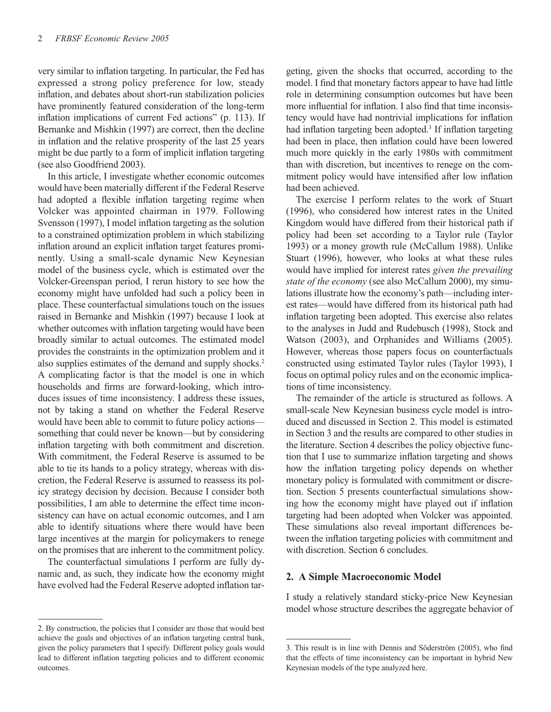very similar to inflation targeting. In particular, the Fed has expressed a strong policy preference for low, steady inflation, and debates about short-run stabilization policies have prominently featured consideration of the long-term inflation implications of current Fed actions" (p. 113). If Bernanke and Mishkin (1997) are correct, then the decline in inflation and the relative prosperity of the last 25 years might be due partly to a form of implicit inflation targeting (see also Goodfriend 2003).

In this article, I investigate whether economic outcomes would have been materially different if the Federal Reserve had adopted a flexible inflation targeting regime when Volcker was appointed chairman in 1979. Following Svensson (1997), I model inflation targeting as the solution to a constrained optimization problem in which stabilizing inflation around an explicit inflation target features prominently. Using a small-scale dynamic New Keynesian model of the business cycle, which is estimated over the Volcker-Greenspan period, I rerun history to see how the economy might have unfolded had such a policy been in place. These counterfactual simulations touch on the issues raised in Bernanke and Mishkin (1997) because I look at whether outcomes with inflation targeting would have been broadly similar to actual outcomes. The estimated model provides the constraints in the optimization problem and it also supplies estimates of the demand and supply shocks.2 A complicating factor is that the model is one in which households and firms are forward-looking, which introduces issues of time inconsistency. I address these issues, not by taking a stand on whether the Federal Reserve would have been able to commit to future policy actions something that could never be known—but by considering inflation targeting with both commitment and discretion. With commitment, the Federal Reserve is assumed to be able to tie its hands to a policy strategy, whereas with discretion, the Federal Reserve is assumed to reassess its policy strategy decision by decision. Because I consider both possibilities, I am able to determine the effect time inconsistency can have on actual economic outcomes, and I am able to identify situations where there would have been large incentives at the margin for policymakers to renege on the promises that are inherent to the commitment policy.

The counterfactual simulations I perform are fully dynamic and, as such, they indicate how the economy might have evolved had the Federal Reserve adopted inflation tar-

geting, given the shocks that occurred, according to the model. I find that monetary factors appear to have had little role in determining consumption outcomes but have been more influential for inflation. I also find that time inconsistency would have had nontrivial implications for inflation had inflation targeting been adopted.<sup>3</sup> If inflation targeting had been in place, then inflation could have been lowered much more quickly in the early 1980s with commitment than with discretion, but incentives to renege on the commitment policy would have intensified after low inflation had been achieved.

The exercise I perform relates to the work of Stuart (1996), who considered how interest rates in the United Kingdom would have differed from their historical path if policy had been set according to a Taylor rule (Taylor 1993) or a money growth rule (McCallum 1988). Unlike Stuart (1996), however, who looks at what these rules would have implied for interest rates *given the prevailing state of the economy* (see also McCallum 2000), my simulations illustrate how the economy's path—including interest rates—would have differed from its historical path had inflation targeting been adopted. This exercise also relates to the analyses in Judd and Rudebusch (1998), Stock and Watson (2003), and Orphanides and Williams (2005). However, whereas those papers focus on counterfactuals constructed using estimated Taylor rules (Taylor 1993), I focus on optimal policy rules and on the economic implications of time inconsistency.

The remainder of the article is structured as follows. A small-scale New Keynesian business cycle model is introduced and discussed in Section 2. This model is estimated in Section 3 and the results are compared to other studies in the literature. Section 4 describes the policy objective function that I use to summarize inflation targeting and shows how the inflation targeting policy depends on whether monetary policy is formulated with commitment or discretion. Section 5 presents counterfactual simulations showing how the economy might have played out if inflation targeting had been adopted when Volcker was appointed. These simulations also reveal important differences between the inflation targeting policies with commitment and with discretion. Section 6 concludes.

## **2. A Simple Macroeconomic Model**

I study a relatively standard sticky-price New Keynesian model whose structure describes the aggregate behavior of

<sup>2.</sup> By construction, the policies that I consider are those that would best achieve the goals and objectives of an inflation targeting central bank, given the policy parameters that I specify. Different policy goals would lead to different inflation targeting policies and to different economic outcomes.

<sup>3.</sup> This result is in line with Dennis and Söderström (2005), who find that the effects of time inconsistency can be important in hybrid New Keynesian models of the type analyzed here.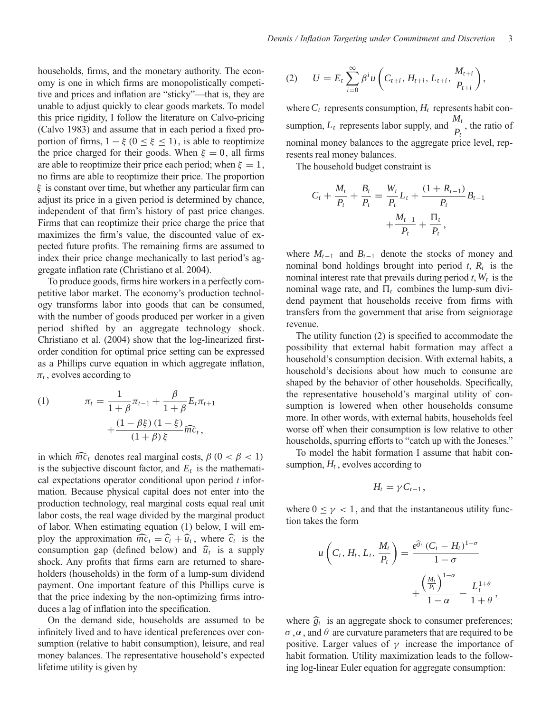households, firms, and the monetary authority. The economy is one in which firms are monopolistically competitive and prices and inflation are "sticky"—that is, they are unable to adjust quickly to clear goods markets. To model this price rigidity, I follow the literature on Calvo-pricing (Calvo 1983) and assume that in each period a fixed proportion of firms,  $1 - \xi$  ( $0 \le \xi \le 1$ ), is able to reoptimize the price charged for their goods. When  $\xi = 0$ , all firms are able to reoptimize their price each period; when  $\xi = 1$ , no firms are able to reoptimize their price. The proportion  $\xi$  is constant over time, but whether any particular firm can adjust its price in a given period is determined by chance, independent of that firm's history of past price changes. Firms that can reoptimize their price charge the price that maximizes the firm's value, the discounted value of expected future profits. The remaining firms are assumed to index their price change mechanically to last period's aggregate inflation rate (Christiano et al. 2004).

To produce goods, firms hire workers in a perfectly competitive labor market. The economy's production technology transforms labor into goods that can be consumed, with the number of goods produced per worker in a given period shifted by an aggregate technology shock. Christiano et al. (2004) show that the log-linearized firstorder condition for optimal price setting can be expressed as a Phillips curve equation in which aggregate inflation,  $\pi_t$ , evolves according to

(1) 
$$
\pi_t = \frac{1}{1+\beta}\pi_{t-1} + \frac{\beta}{1+\beta}E_t\pi_{t+1} + \frac{(1-\beta\xi)(1-\xi)}{(1+\beta)\xi}\widehat{mc}_t,
$$

in which  $\widehat{mc}_t$  denotes real marginal costs,  $\beta$  (0 <  $\beta$  < 1) is the subjective discount factor, and  $E_t$  is the mathematical expectations operator conditional upon period *t* information. Because physical capital does not enter into the production technology, real marginal costs equal real unit labor costs, the real wage divided by the marginal product of labor. When estimating equation (1) below, I will employ the approximation  $\widehat{mc}_t = \widehat{c}_t + \widehat{u}_t$ , where  $\widehat{c}_t$  is the consumption gap (defined below) and  $\hat{u}_t$  is a supply shock. Any profits that firms earn are returned to shareholders (households) in the form of a lump-sum dividend payment. One important feature of this Phillips curve is that the price indexing by the non-optimizing firms introduces a lag of inflation into the specification.

On the demand side, households are assumed to be infinitely lived and to have identical preferences over consumption (relative to habit consumption), leisure, and real money balances. The representative household's expected lifetime utility is given by

(2) 
$$
U = E_t \sum_{i=0}^{\infty} \beta^i u \left( C_{t+i}, H_{t+i}, L_{t+i}, \frac{M_{t+i}}{P_{t+i}} \right),
$$

where  $C_t$  represents consumption,  $H_t$  represents habit consumption,  $L_t$  represents labor supply, and  $\frac{M_t}{R}$  $\frac{n}{P_t}$ , the ratio of nominal money balances to the aggregate price level, represents real money balances.

The household budget constraint is

$$
C_{t} + \frac{M_{t}}{P_{t}} + \frac{B_{t}}{P_{t}} = \frac{W_{t}}{P_{t}}L_{t} + \frac{(1 + R_{t-1})}{P_{t}}B_{t-1} + \frac{M_{t-1}}{P_{t}} + \frac{\Pi_{t}}{P_{t}},
$$

where  $M_{t-1}$  and  $B_{t-1}$  denote the stocks of money and nominal bond holdings brought into period  $t$ ,  $R_t$  is the nominal interest rate that prevails during period  $t$ ,  $W_t$  is the nominal wage rate, and  $\Pi_t$  combines the lump-sum dividend payment that households receive from firms with transfers from the government that arise from seigniorage revenue.

The utility function (2) is specified to accommodate the possibility that external habit formation may affect a household's consumption decision. With external habits, a household's decisions about how much to consume are shaped by the behavior of other households. Specifically, the representative household's marginal utility of consumption is lowered when other households consume more. In other words, with external habits, households feel worse off when their consumption is low relative to other households, spurring efforts to "catch up with the Joneses."

To model the habit formation I assume that habit consumption,  $H_t$ , evolves according to

$$
H_t=\gamma C_{t-1},
$$

where  $0 \le \gamma < 1$ , and that the instantaneous utility function takes the form

$$
u\left(C_t, H_t, L_t, \frac{M_t}{P_t}\right) = \frac{e^{\hat{g}_t}\left(C_t - H_t\right)^{1-\sigma}}{1-\sigma} + \frac{\left(\frac{M_t}{P_t}\right)^{1-\alpha}}{1-\alpha} - \frac{L_t^{1+\theta}}{1+\theta},
$$

where  $\hat{g}_t$  is an aggregate shock to consumer preferences;  $\sigma, \alpha$ , and  $\theta$  are curvature parameters that are required to be positive. Larger values of  $\gamma$  increase the importance of habit formation. Utility maximization leads to the following log-linear Euler equation for aggregate consumption: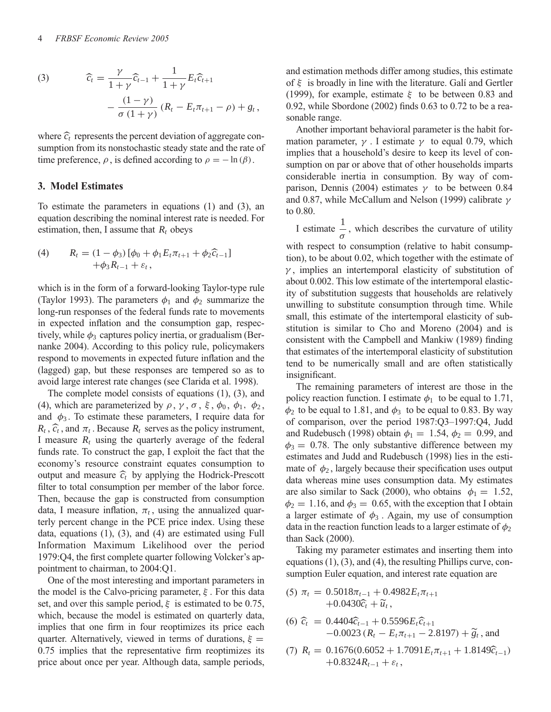(3) 
$$
\widehat{c}_{t} = \frac{\gamma}{1 + \gamma} \widehat{c}_{t-1} + \frac{1}{1 + \gamma} E_{t} \widehat{c}_{t+1} - \frac{(1 - \gamma)}{\sigma (1 + \gamma)} (R_{t} - E_{t} \pi_{t+1} - \rho) + g_{t},
$$

where  $\hat{c}_t$  represents the percent deviation of aggregate con-<br> sumption from its nonstochastic steady state and the rate of time preference,  $\rho$ , is defined according to  $\rho = -\ln(\beta)$ .

## **3. Model Estimates**

To estimate the parameters in equations (1) and (3), an equation describing the nominal interest rate is needed. For estimation, then, I assume that  $R_t$  obeys

(4) 
$$
R_t = (1 - \phi_3) [\phi_0 + \phi_1 E_t \pi_{t+1} + \phi_2 \widehat{c}_{t-1}] + \phi_3 R_{t-1} + \varepsilon_t,
$$

which is in the form of a forward-looking Taylor-type rule (Taylor 1993). The parameters  $\phi_1$  and  $\phi_2$  summarize the long-run responses of the federal funds rate to movements in expected inflation and the consumption gap, respectively, while  $\phi_3$  captures policy inertia, or gradualism (Bernanke 2004). According to this policy rule, policymakers respond to movements in expected future inflation and the (lagged) gap, but these responses are tempered so as to avoid large interest rate changes (see Clarida et al. 1998).

The complete model consists of equations (1), (3), and (4), which are parameterized by  $\rho$ ,  $\gamma$ ,  $\sigma$ ,  $\xi$ ,  $\phi_0$ ,  $\phi_1$ ,  $\phi_2$ , and  $\phi_3$ . To estimate these parameters, I require data for  $R_t$ ,  $\hat{c}_t$ , and  $\pi_t$ . Because  $R_t$  serves as the policy instrument, I measure  $R_t$  using the quarterly average of the federal funds rate. To construct the gap, I exploit the fact that the economy's resource constraint equates consumption to output and measure  $\hat{c}_t$  by applying the Hodrick-Prescott filter to total consumption per member of the labor force. Then, because the gap is constructed from consumption data, I measure inflation,  $\pi_t$ , using the annualized quarterly percent change in the PCE price index. Using these data, equations (1), (3), and (4) are estimated using Full Information Maximum Likelihood over the period 1979:Q4, the first complete quarter following Volcker's appointment to chairman, to 2004:Q1.

One of the most interesting and important parameters in the model is the Calvo-pricing parameter,  $\xi$ . For this data set, and over this sample period,  $\xi$  is estimated to be 0.75, which, because the model is estimated on quarterly data, implies that one firm in four reoptimizes its price each quarter. Alternatively, viewed in terms of durations,  $\xi =$ 0.75 implies that the representative firm reoptimizes its price about once per year. Although data, sample periods, and estimation methods differ among studies, this estimate of  $\xi$  is broadly in line with the literature. Gali and Gertler (1999), for example, estimate  $\xi$  to be between 0.83 and 0.92, while Sbordone (2002) finds 0.63 to 0.72 to be a reasonable range.

Another important behavioral parameter is the habit formation parameter,  $\gamma$ . I estimate  $\gamma$  to equal 0.79, which implies that a household's desire to keep its level of consumption on par or above that of other households imparts considerable inertia in consumption. By way of comparison, Dennis (2004) estimates  $\gamma$  to be between 0.84 and 0.87, while McCallum and Nelson (1999) calibrate  $\gamma$ to 0.80.

I estimate 1  $\frac{1}{\sigma}$ , which describes the curvature of utility with respect to consumption (relative to habit consumption), to be about 0.02, which together with the estimate of  $\gamma$ , implies an intertemporal elasticity of substitution of about 0.002. This low estimate of the intertemporal elasticity of substitution suggests that households are relatively unwilling to substitute consumption through time. While small, this estimate of the intertemporal elasticity of substitution is similar to Cho and Moreno (2004) and is consistent with the Campbell and Mankiw (1989) finding that estimates of the intertemporal elasticity of substitution tend to be numerically small and are often statistically

insignificant. The remaining parameters of interest are those in the policy reaction function. I estimate  $\phi_1$  to be equal to 1.71,  $\phi_2$  to be equal to 1.81, and  $\phi_3$  to be equal to 0.83. By way of comparison, over the period 1987:Q3–1997:Q4, Judd and Rudebusch (1998) obtain  $\phi_1 = 1.54$ ,  $\phi_2 = 0.99$ , and  $\phi_3 = 0.78$ . The only substantive difference between my estimates and Judd and Rudebusch (1998) lies in the estimate of  $\phi_2$ , largely because their specification uses output data whereas mine uses consumption data. My estimates are also similar to Sack (2000), who obtains  $\phi_1 = 1.52$ ,  $\phi_2 = 1.16$ , and  $\phi_3 = 0.65$ , with the exception that I obtain a larger estimate of  $\phi_3$ . Again, my use of consumption data in the reaction function leads to a larger estimate of  $\phi_2$ than Sack (2000).

Taking my parameter estimates and inserting them into equations (1), (3), and (4), the resulting Phillips curve, consumption Euler equation, and interest rate equation are

$$
(5) \ \pi_t = 0.5018\pi_{t-1} + 0.4982E_t\pi_{t+1} + 0.0430\widehat{c}_t + \widetilde{u}_t,
$$

(6) 
$$
\hat{c}_t = 0.4404 \hat{c}_{t-1} + 0.5596 E_t \hat{c}_{t+1}
$$
  
-0.0023  $(R_t - E_t \pi_{t+1} - 2.8197) + \tilde{g}_t$ , and

(7) 
$$
R_t = 0.1676(0.6052 + 1.7091E_t\pi_{t+1} + 1.8149\hat{c}_{t-1}) + 0.8324R_{t-1} + \varepsilon_t,
$$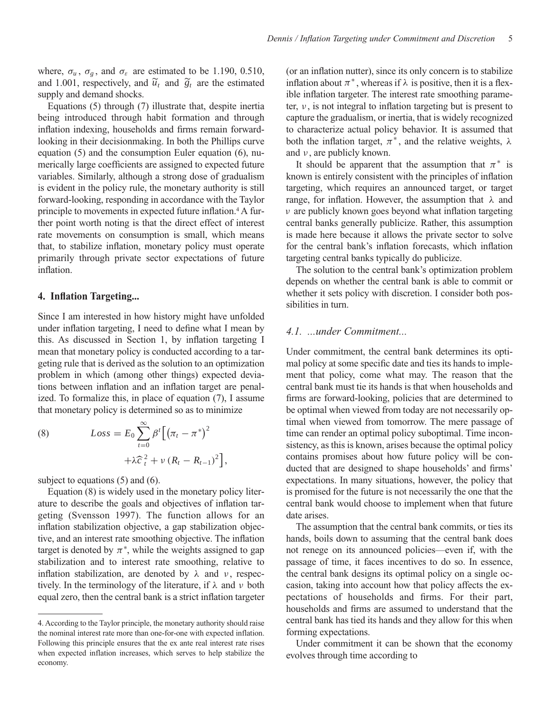where,  $\sigma_u$ ,  $\sigma_g$ , and  $\sigma_\varepsilon$  are estimated to be 1.190, 0.510, and 1.001, respectively, and  $\tilde{u}_t$  and  $\tilde{g}_t$  are the estimated supply and demand shocks.

Equations (5) through (7) illustrate that, despite inertia being introduced through habit formation and through inflation indexing, households and firms remain forwardlooking in their decisionmaking. In both the Phillips curve equation (5) and the consumption Euler equation (6), numerically large coefficients are assigned to expected future variables. Similarly, although a strong dose of gradualism is evident in the policy rule, the monetary authority is still forward-looking, responding in accordance with the Taylor principle to movements in expected future inflation.4 A further point worth noting is that the direct effect of interest rate movements on consumption is small, which means that, to stabilize inflation, monetary policy must operate primarily through private sector expectations of future inflation.

## **4. Inflation Targeting...**

Since I am interested in how history might have unfolded under inflation targeting, I need to define what I mean by this. As discussed in Section 1, by inflation targeting I mean that monetary policy is conducted according to a targeting rule that is derived as the solution to an optimization problem in which (among other things) expected deviations between inflation and an inflation target are penalized. To formalize this, in place of equation (7), I assume that monetary policy is determined so as to minimize

(8) 
$$
Loss = E_0 \sum_{t=0}^{\infty} \beta^t \left[ (\pi_t - \pi^*)^2 + \lambda \widehat{c}_t^2 + \nu (R_t - R_{t-1})^2 \right]
$$

subject to equations (5) and (6).

Equation (8) is widely used in the monetary policy literature to describe the goals and objectives of inflation targeting (Svensson 1997). The function allows for an inflation stabilization objective, a gap stabilization objective, and an interest rate smoothing objective. The inflation target is denoted by  $\pi^*$ , while the weights assigned to gap stabilization and to interest rate smoothing, relative to inflation stabilization, are denoted by  $\lambda$  and  $\nu$ , respectively. In the terminology of the literature, if  $\lambda$  and  $\nu$  both equal zero, then the central bank is a strict inflation targeter

,

(or an inflation nutter), since its only concern is to stabilize inflation about  $\pi^*$ , whereas if  $\lambda$  is positive, then it is a flexible inflation targeter. The interest rate smoothing parameter,  $\nu$ , is not integral to inflation targeting but is present to capture the gradualism, or inertia, that is widely recognized to characterize actual policy behavior. It is assumed that both the inflation target,  $\pi^*$ , and the relative weights,  $\lambda$ and  $\nu$ , are publicly known.

It should be apparent that the assumption that  $\pi^*$  is known is entirely consistent with the principles of inflation targeting, which requires an announced target, or target range, for inflation. However, the assumption that  $\lambda$  and  $\nu$  are publicly known goes beyond what inflation targeting central banks generally publicize. Rather, this assumption is made here because it allows the private sector to solve for the central bank's inflation forecasts, which inflation targeting central banks typically do publicize.

The solution to the central bank's optimization problem depends on whether the central bank is able to commit or whether it sets policy with discretion. I consider both possibilities in turn.

# *4.1. ...under Commitment...*

Under commitment, the central bank determines its optimal policy at some specific date and ties its hands to implement that policy, come what may. The reason that the central bank must tie its hands is that when households and firms are forward-looking, policies that are determined to be optimal when viewed from today are not necessarily optimal when viewed from tomorrow. The mere passage of time can render an optimal policy suboptimal. Time inconsistency, as this is known, arises because the optimal policy contains promises about how future policy will be conducted that are designed to shape households' and firms' expectations. In many situations, however, the policy that is promised for the future is not necessarily the one that the central bank would choose to implement when that future date arises.

The assumption that the central bank commits, or ties its hands, boils down to assuming that the central bank does not renege on its announced policies—even if, with the passage of time, it faces incentives to do so. In essence, the central bank designs its optimal policy on a single occasion, taking into account how that policy affects the expectations of households and firms. For their part, households and firms are assumed to understand that the central bank has tied its hands and they allow for this when forming expectations.

Under commitment it can be shown that the economy evolves through time according to

<sup>4.</sup> According to the Taylor principle, the monetary authority should raise the nominal interest rate more than one-for-one with expected inflation. Following this principle ensures that the ex ante real interest rate rises when expected inflation increases, which serves to help stabilize the economy.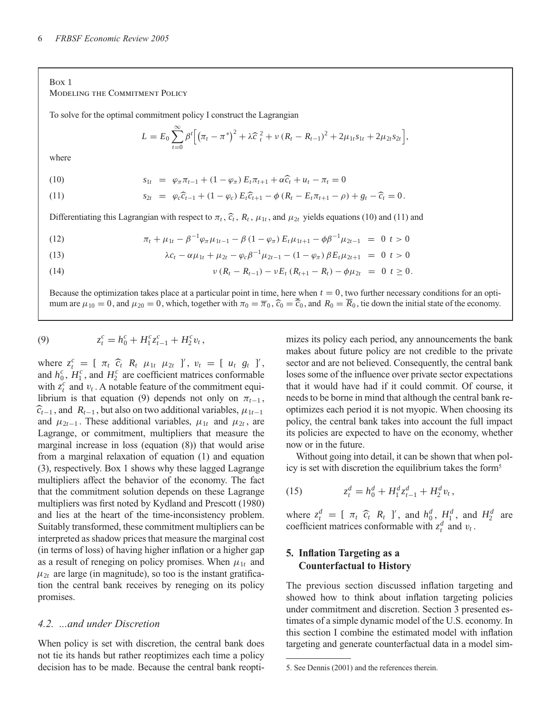#### Box 1 Modeling the Commitment Policy

To solve for the optimal commitment policy I construct the Lagrangian

$$
L = E_0 \sum_{t=0}^{\infty} \beta^t \Big[ \big( \pi_t - \pi^* \big)^2 + \lambda \widehat{c}_t^2 + \nu \left( R_t - R_{t-1} \right)^2 + 2 \mu_{1t} s_{1t} + 2 \mu_{2t} s_{2t} \Big],
$$

where

$$
(10)
$$

(10)  $s_{1t} = \varphi_{\pi} \pi_{t-1} + (1 - \varphi_{\pi}) E_t \pi_{t+1} + \alpha \widehat{c}_t + u_t - \pi_t = 0$ 

(11) 
$$
s_{2t} = \varphi_c \widehat{c}_{t-1} + (1 - \varphi_c) E_t \widehat{c}_{t+1} - \phi (R_t - E_t \pi_{t+1} - \rho) + g_t - \widehat{c}_t = 0.
$$

Differentiating this Lagrangian with respect to  $\pi_t$ ,  $\hat{c}_t$ ,  $R_t$ ,  $\mu_{1t}$ , and  $\mu_{2t}$  yields equations (10) and (11) and

(12) 
$$
\pi_t + \mu_{1t} - \beta^{-1} \varphi_\pi \mu_{1t-1} - \beta (1 - \varphi_\pi) E_t \mu_{1t+1} - \phi \beta^{-1} \mu_{2t-1} = 0 \quad t > 0
$$

(13) 
$$
\lambda c_t - \alpha \mu_{1t} + \mu_{2t} - \varphi_c \beta^{-1} \mu_{2t-1} - (1 - \varphi_{\pi}) \beta E_t \mu_{2t+1} = 0 \ t > 0
$$

(14)  $v (R_t - R_{t-1}) - v E_t (R_{t+1} - R_t) - \phi \mu_{2t} = 0 \ t \ge 0.$ 

Because the optimization takes place at a particular point in time, here when  $t = 0$ , two further necessary conditions for an optimum are  $\mu_{10} = 0$ , and  $\mu_{20} = 0$ , which, together with  $\pi_0 = \overline{\pi}_0$ ,  $\widehat{c}_0 = \widehat{c}_0$ , and  $R_0 = R_0$ , tie down the initial state of the economy.

(9) 
$$
z_t^c = h_0^c + H_1^c z_{t-1}^c + H_2^c v_t,
$$

where  $z_t^c = [\tau_t \hat{c}_t R_t \mu_{1t} \mu_{2t}]'$ ,  $v_t = [\mu_t g_t]'$ and  $h_0^c$ ,  $H_1^c$ , and  $H_2^c$  are coefficient matrices conformable with  $z_t^c$  and  $v_t$ . A notable feature of the commitment equilibrium is that equation (9) depends not only on  $\pi_{t-1}$ ,  $\hat{c}_{t-1}$ , and  $R_{t-1}$ , but also on two additional variables,  $\mu_{1t-1}$ and  $\mu_{2t-1}$ . These additional variables,  $\mu_{1t}$  and  $\mu_{2t}$ , are Lagrange, or commitment, multipliers that measure the marginal increase in loss (equation (8)) that would arise from a marginal relaxation of equation (1) and equation (3), respectively. Box 1 shows why these lagged Lagrange multipliers affect the behavior of the economy. The fact that the commitment solution depends on these Lagrange multipliers was first noted by Kydland and Prescott (1980) and lies at the heart of the time-inconsistency problem. Suitably transformed, these commitment multipliers can be interpreted as shadow prices that measure the marginal cost (in terms of loss) of having higher inflation or a higher gap as a result of reneging on policy promises. When  $\mu_{1t}$  and  $\mu_{2t}$  are large (in magnitude), so too is the instant gratification the central bank receives by reneging on its policy promises.

# *4.2. ...and under Discretion*

When policy is set with discretion, the central bank does not tie its hands but rather reoptimizes each time a policy decision has to be made. Because the central bank reoptimizes its policy each period, any announcements the bank makes about future policy are not credible to the private sector and are not believed. Consequently, the central bank loses some of the influence over private sector expectations that it would have had if it could commit. Of course, it needs to be borne in mind that although the central bank reoptimizes each period it is not myopic. When choosing its policy, the central bank takes into account the full impact its policies are expected to have on the economy, whether now or in the future.

Without going into detail, it can be shown that when policy is set with discretion the equilibrium takes the form5

(15) 
$$
z_t^d = h_0^d + H_1^d z_{t-1}^d + H_2^d v_t,
$$

where  $z_t^d = [\pi_t \ \hat{c}_t \ R_t]$ , and  $h_0^d$ ,  $H_1^d$ , and  $H_2^d$  are coefficient matrices conformable with  $z_t^d$  and  $v_t$ .

# **5. Inflation Targeting as a Counterfactual to History**

The previous section discussed inflation targeting and showed how to think about inflation targeting policies under commitment and discretion. Section 3 presented estimates of a simple dynamic model of the U.S. economy. In this section I combine the estimated model with inflation targeting and generate counterfactual data in a model sim-

<sup>5.</sup> See Dennis (2001) and the references therein.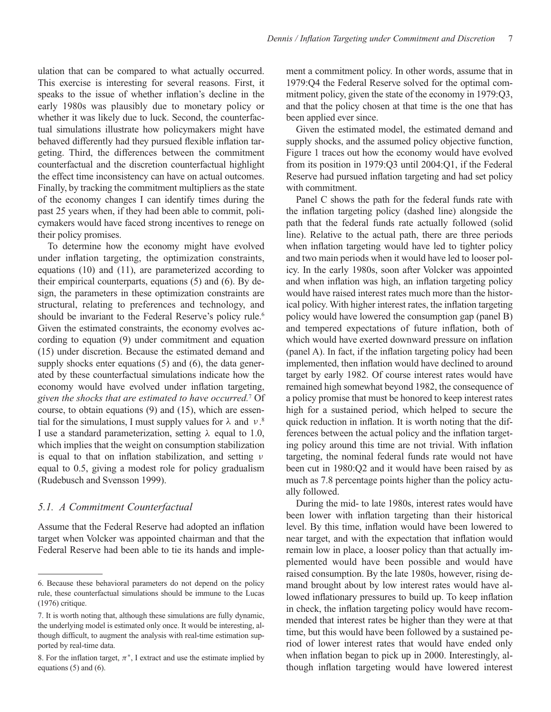ulation that can be compared to what actually occurred. This exercise is interesting for several reasons. First, it speaks to the issue of whether inflation's decline in the early 1980s was plausibly due to monetary policy or whether it was likely due to luck. Second, the counterfactual simulations illustrate how policymakers might have behaved differently had they pursued flexible inflation targeting. Third, the differences between the commitment counterfactual and the discretion counterfactual highlight the effect time inconsistency can have on actual outcomes. Finally, by tracking the commitment multipliers as the state of the economy changes I can identify times during the past 25 years when, if they had been able to commit, policymakers would have faced strong incentives to renege on their policy promises.

To determine how the economy might have evolved under inflation targeting, the optimization constraints, equations (10) and (11), are parameterized according to their empirical counterparts, equations (5) and (6). By design, the parameters in these optimization constraints are structural, relating to preferences and technology, and should be invariant to the Federal Reserve's policy rule.<sup>6</sup> Given the estimated constraints, the economy evolves according to equation (9) under commitment and equation (15) under discretion. Because the estimated demand and supply shocks enter equations (5) and (6), the data generated by these counterfactual simulations indicate how the economy would have evolved under inflation targeting, *given the shocks that are estimated to have occurred.*<sup>7</sup> Of course, to obtain equations (9) and (15), which are essential for the simulations, I must supply values for  $\lambda$  and  $\nu$ .<sup>8</sup> I use a standard parameterization, setting  $\lambda$  equal to 1.0, which implies that the weight on consumption stabilization is equal to that on inflation stabilization, and setting ν equal to 0.5, giving a modest role for policy gradualism (Rudebusch and Svensson 1999).

## *5.1. A Commitment Counterfactual*

Assume that the Federal Reserve had adopted an inflation target when Volcker was appointed chairman and that the Federal Reserve had been able to tie its hands and implement a commitment policy. In other words, assume that in 1979:Q4 the Federal Reserve solved for the optimal commitment policy, given the state of the economy in 1979:Q3, and that the policy chosen at that time is the one that has been applied ever since.

Given the estimated model, the estimated demand and supply shocks, and the assumed policy objective function, Figure 1 traces out how the economy would have evolved from its position in 1979:Q3 until 2004:Q1, if the Federal Reserve had pursued inflation targeting and had set policy with commitment.

Panel C shows the path for the federal funds rate with the inflation targeting policy (dashed line) alongside the path that the federal funds rate actually followed (solid line). Relative to the actual path, there are three periods when inflation targeting would have led to tighter policy and two main periods when it would have led to looser policy. In the early 1980s, soon after Volcker was appointed and when inflation was high, an inflation targeting policy would have raised interest rates much more than the historical policy. With higher interest rates, the inflation targeting policy would have lowered the consumption gap (panel B) and tempered expectations of future inflation, both of which would have exerted downward pressure on inflation (panel A). In fact, if the inflation targeting policy had been implemented, then inflation would have declined to around target by early 1982. Of course interest rates would have remained high somewhat beyond 1982, the consequence of a policy promise that must be honored to keep interest rates high for a sustained period, which helped to secure the quick reduction in inflation. It is worth noting that the differences between the actual policy and the inflation targeting policy around this time are not trivial. With inflation targeting, the nominal federal funds rate would not have been cut in 1980:Q2 and it would have been raised by as much as 7.8 percentage points higher than the policy actually followed.

During the mid- to late 1980s, interest rates would have been lower with inflation targeting than their historical level. By this time, inflation would have been lowered to near target, and with the expectation that inflation would remain low in place, a looser policy than that actually implemented would have been possible and would have raised consumption. By the late 1980s, however, rising demand brought about by low interest rates would have allowed inflationary pressures to build up. To keep inflation in check, the inflation targeting policy would have recommended that interest rates be higher than they were at that time, but this would have been followed by a sustained period of lower interest rates that would have ended only when inflation began to pick up in 2000. Interestingly, although inflation targeting would have lowered interest

<sup>6.</sup> Because these behavioral parameters do not depend on the policy rule, these counterfactual simulations should be immune to the Lucas (1976) critique.

<sup>7.</sup> It is worth noting that, although these simulations are fully dynamic, the underlying model is estimated only once. It would be interesting, although difficult, to augment the analysis with real-time estimation supported by real-time data.

<sup>8.</sup> For the inflation target,  $\pi^*$ , I extract and use the estimate implied by equations (5) and (6).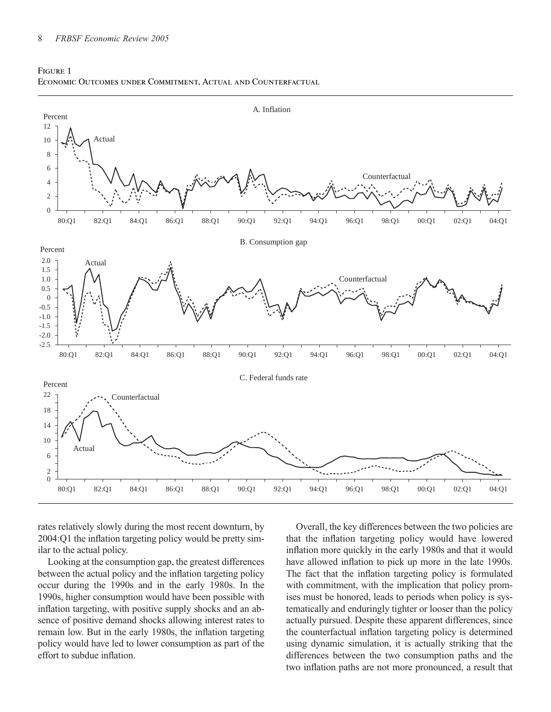



rates relatively slowly during the most recent downturn, by 2004:Q1 the inflation targeting policy would be pretty similar to the actual policy.

Looking at the consumption gap, the greatest differences between the actual policy and the inflation targeting policy occur during the 1990s and in the early 1980s. In the 1990s, higher consumption would have been possible with inflation targeting, with positive supply shocks and an absence of positive demand shocks allowing interest rates to remain low. But in the early 1980s, the inflation targeting policy would have led to lower consumption as part of the effort to subdue inflation.

Overall, the key differences between the two policies are that the inflation targeting policy would have lowered inflation more quickly in the early 1980s and that it would have allowed inflation to pick up more in the late 1990s. The fact that the inflation targeting policy is formulated with commitment, with the implication that policy promises must be honored, leads to periods when policy is systematically and enduringly tighter or looser than the policy actually pursued. Despite these apparent differences, since the counterfactual inflation targeting policy is determined using dynamic simulation, it is actually striking that the differences between the two consumption paths and the two inflation paths are not more pronounced, a result that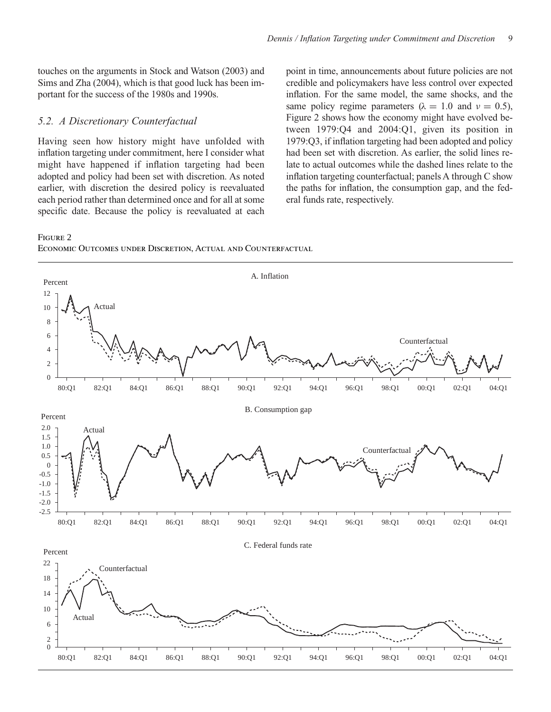touches on the arguments in Stock and Watson (2003) and Sims and Zha (2004), which is that good luck has been important for the success of the 1980s and 1990s.

#### *5.2. A Discretionary Counterfactual*

Having seen how history might have unfolded with inflation targeting under commitment, here I consider what might have happened if inflation targeting had been adopted and policy had been set with discretion. As noted earlier, with discretion the desired policy is reevaluated each period rather than determined once and for all at some specific date. Because the policy is reevaluated at each

point in time, announcements about future policies are not credible and policymakers have less control over expected inflation. For the same model, the same shocks, and the same policy regime parameters ( $\lambda = 1.0$  and  $\nu = 0.5$ ), Figure 2 shows how the economy might have evolved between 1979:Q4 and 2004:Q1, given its position in 1979:Q3, if inflation targeting had been adopted and policy had been set with discretion. As earlier, the solid lines relate to actual outcomes while the dashed lines relate to the inflation targeting counterfactual; panels A through C show the paths for inflation, the consumption gap, and the federal funds rate, respectively.

# Figure 2



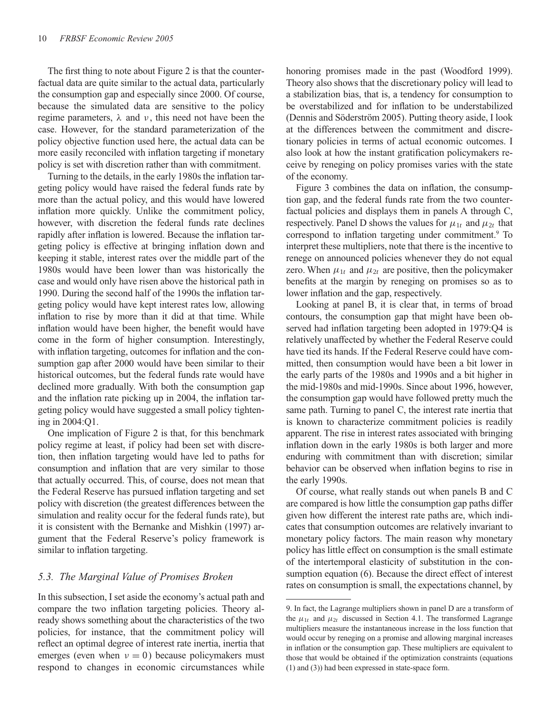The first thing to note about Figure 2 is that the counterfactual data are quite similar to the actual data, particularly the consumption gap and especially since 2000. Of course, because the simulated data are sensitive to the policy regime parameters,  $λ$  and  $ν$ , this need not have been the case. However, for the standard parameterization of the policy objective function used here, the actual data can be more easily reconciled with inflation targeting if monetary policy is set with discretion rather than with commitment.

Turning to the details, in the early 1980s the inflation targeting policy would have raised the federal funds rate by more than the actual policy, and this would have lowered inflation more quickly. Unlike the commitment policy, however, with discretion the federal funds rate declines rapidly after inflation is lowered. Because the inflation targeting policy is effective at bringing inflation down and keeping it stable, interest rates over the middle part of the 1980s would have been lower than was historically the case and would only have risen above the historical path in 1990. During the second half of the 1990s the inflation targeting policy would have kept interest rates low, allowing inflation to rise by more than it did at that time. While inflation would have been higher, the benefit would have come in the form of higher consumption. Interestingly, with inflation targeting, outcomes for inflation and the consumption gap after 2000 would have been similar to their historical outcomes, but the federal funds rate would have declined more gradually. With both the consumption gap and the inflation rate picking up in 2004, the inflation targeting policy would have suggested a small policy tightening in 2004:Q1.

One implication of Figure 2 is that, for this benchmark policy regime at least, if policy had been set with discretion, then inflation targeting would have led to paths for consumption and inflation that are very similar to those that actually occurred. This, of course, does not mean that the Federal Reserve has pursued inflation targeting and set policy with discretion (the greatest differences between the simulation and reality occur for the federal funds rate), but it is consistent with the Bernanke and Mishkin (1997) argument that the Federal Reserve's policy framework is similar to inflation targeting.

## *5.3. The Marginal Value of Promises Broken*

In this subsection, I set aside the economy's actual path and compare the two inflation targeting policies. Theory already shows something about the characteristics of the two policies, for instance, that the commitment policy will reflect an optimal degree of interest rate inertia, inertia that emerges (even when  $v = 0$ ) because policymakers must respond to changes in economic circumstances while honoring promises made in the past (Woodford 1999). Theory also shows that the discretionary policy will lead to a stabilization bias, that is, a tendency for consumption to be overstabilized and for inflation to be understabilized (Dennis and Söderström 2005). Putting theory aside, I look at the differences between the commitment and discretionary policies in terms of actual economic outcomes. I also look at how the instant gratification policymakers receive by reneging on policy promises varies with the state of the economy.

Figure 3 combines the data on inflation, the consumption gap, and the federal funds rate from the two counterfactual policies and displays them in panels A through C, respectively. Panel D shows the values for  $\mu_{1t}$  and  $\mu_{2t}$  that correspond to inflation targeting under commitment.<sup>9</sup> To interpret these multipliers, note that there is the incentive to renege on announced policies whenever they do not equal zero. When  $\mu_{1t}$  and  $\mu_{2t}$  are positive, then the policymaker benefits at the margin by reneging on promises so as to lower inflation and the gap, respectively.

Looking at panel B, it is clear that, in terms of broad contours, the consumption gap that might have been observed had inflation targeting been adopted in 1979:Q4 is relatively unaffected by whether the Federal Reserve could have tied its hands. If the Federal Reserve could have committed, then consumption would have been a bit lower in the early parts of the 1980s and 1990s and a bit higher in the mid-1980s and mid-1990s. Since about 1996, however, the consumption gap would have followed pretty much the same path. Turning to panel C, the interest rate inertia that is known to characterize commitment policies is readily apparent. The rise in interest rates associated with bringing inflation down in the early 1980s is both larger and more enduring with commitment than with discretion; similar behavior can be observed when inflation begins to rise in the early 1990s.

Of course, what really stands out when panels B and C are compared is how little the consumption gap paths differ given how different the interest rate paths are, which indicates that consumption outcomes are relatively invariant to monetary policy factors. The main reason why monetary policy has little effect on consumption is the small estimate of the intertemporal elasticity of substitution in the consumption equation (6). Because the direct effect of interest rates on consumption is small, the expectations channel, by

<sup>9.</sup> In fact, the Lagrange multipliers shown in panel D are a transform of the  $\mu_{1t}$  and  $\mu_{2t}$  discussed in Section 4.1. The transformed Lagrange multipliers measure the instantaneous increase in the loss function that would occur by reneging on a promise and allowing marginal increases in inflation or the consumption gap. These multipliers are equivalent to those that would be obtained if the optimization constraints (equations (1) and (3)) had been expressed in state-space form.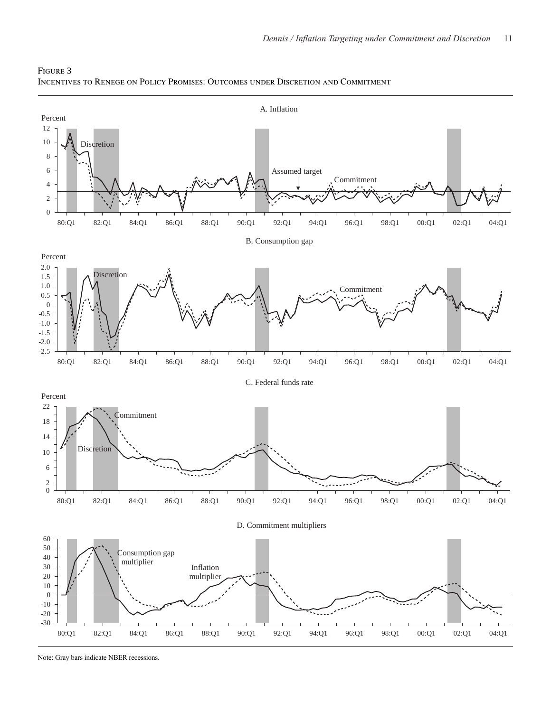

Figure 3 Incentives to Renege on Policy Promises: Outcomes under Discretion and Commitment

Note: Gray bars indicate NBER recessions.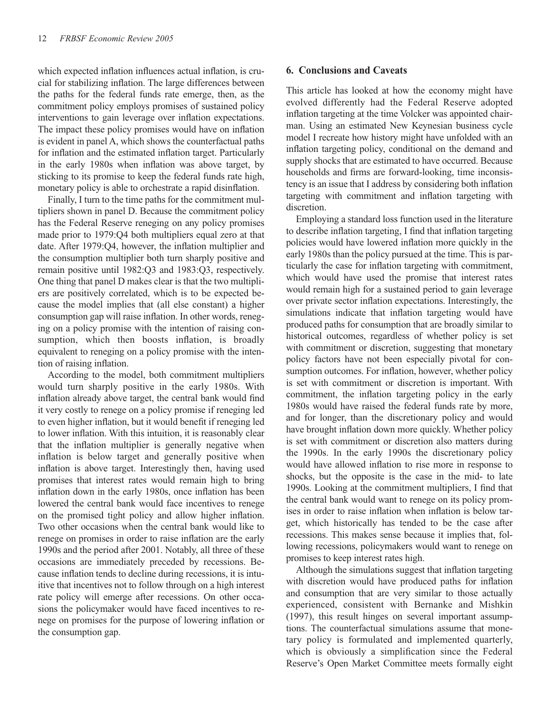which expected inflation influences actual inflation, is crucial for stabilizing inflation. The large differences between the paths for the federal funds rate emerge, then, as the commitment policy employs promises of sustained policy interventions to gain leverage over inflation expectations. The impact these policy promises would have on inflation is evident in panel A, which shows the counterfactual paths for inflation and the estimated inflation target. Particularly in the early 1980s when inflation was above target, by sticking to its promise to keep the federal funds rate high, monetary policy is able to orchestrate a rapid disinflation.

Finally, I turn to the time paths for the commitment multipliers shown in panel D. Because the commitment policy has the Federal Reserve reneging on any policy promises made prior to 1979:Q4 both multipliers equal zero at that date. After 1979:Q4, however, the inflation multiplier and the consumption multiplier both turn sharply positive and remain positive until 1982:Q3 and 1983:Q3, respectively. One thing that panel D makes clear is that the two multipliers are positively correlated, which is to be expected because the model implies that (all else constant) a higher consumption gap will raise inflation. In other words, reneging on a policy promise with the intention of raising consumption, which then boosts inflation, is broadly equivalent to reneging on a policy promise with the intention of raising inflation.

According to the model, both commitment multipliers would turn sharply positive in the early 1980s. With inflation already above target, the central bank would find it very costly to renege on a policy promise if reneging led to even higher inflation, but it would benefit if reneging led to lower inflation. With this intuition, it is reasonably clear that the inflation multiplier is generally negative when inflation is below target and generally positive when inflation is above target. Interestingly then, having used promises that interest rates would remain high to bring inflation down in the early 1980s, once inflation has been lowered the central bank would face incentives to renege on the promised tight policy and allow higher inflation. Two other occasions when the central bank would like to renege on promises in order to raise inflation are the early 1990s and the period after 2001. Notably, all three of these occasions are immediately preceded by recessions. Because inflation tends to decline during recessions, it is intuitive that incentives not to follow through on a high interest rate policy will emerge after recessions. On other occasions the policymaker would have faced incentives to renege on promises for the purpose of lowering inflation or the consumption gap.

### **6. Conclusions and Caveats**

This article has looked at how the economy might have evolved differently had the Federal Reserve adopted inflation targeting at the time Volcker was appointed chairman. Using an estimated New Keynesian business cycle model I recreate how history might have unfolded with an inflation targeting policy, conditional on the demand and supply shocks that are estimated to have occurred. Because households and firms are forward-looking, time inconsistency is an issue that I address by considering both inflation targeting with commitment and inflation targeting with discretion.

Employing a standard loss function used in the literature to describe inflation targeting, I find that inflation targeting policies would have lowered inflation more quickly in the early 1980s than the policy pursued at the time. This is particularly the case for inflation targeting with commitment, which would have used the promise that interest rates would remain high for a sustained period to gain leverage over private sector inflation expectations. Interestingly, the simulations indicate that inflation targeting would have produced paths for consumption that are broadly similar to historical outcomes, regardless of whether policy is set with commitment or discretion, suggesting that monetary policy factors have not been especially pivotal for consumption outcomes. For inflation, however, whether policy is set with commitment or discretion is important. With commitment, the inflation targeting policy in the early 1980s would have raised the federal funds rate by more, and for longer, than the discretionary policy and would have brought inflation down more quickly. Whether policy is set with commitment or discretion also matters during the 1990s. In the early 1990s the discretionary policy would have allowed inflation to rise more in response to shocks, but the opposite is the case in the mid- to late 1990s. Looking at the commitment multipliers, I find that the central bank would want to renege on its policy promises in order to raise inflation when inflation is below target, which historically has tended to be the case after recessions. This makes sense because it implies that, following recessions, policymakers would want to renege on promises to keep interest rates high.

Although the simulations suggest that inflation targeting with discretion would have produced paths for inflation and consumption that are very similar to those actually experienced, consistent with Bernanke and Mishkin (1997), this result hinges on several important assumptions. The counterfactual simulations assume that monetary policy is formulated and implemented quarterly, which is obviously a simplification since the Federal Reserve's Open Market Committee meets formally eight